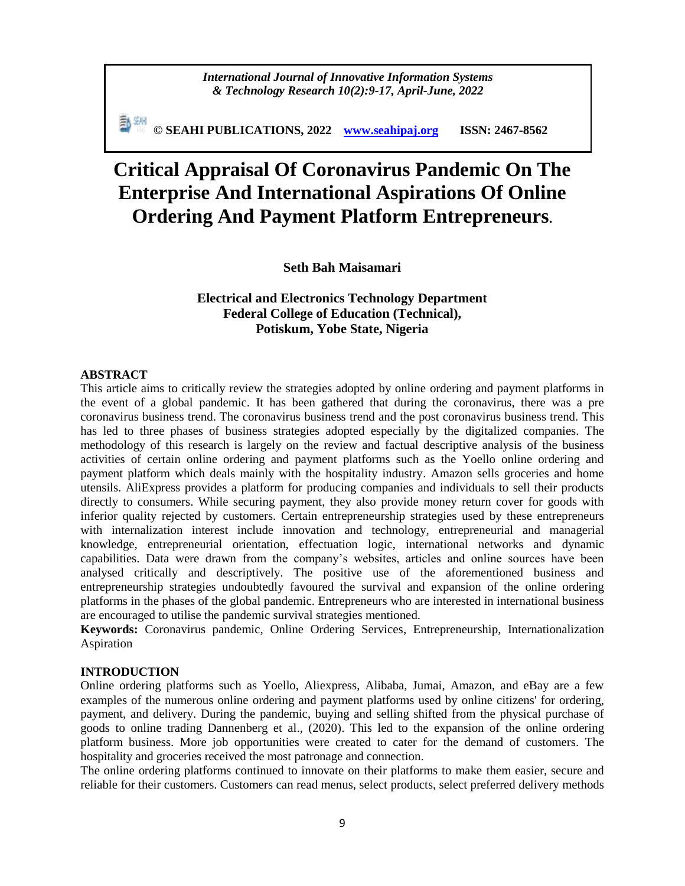*International Journal of Innovative Information Systems & Technology Research 10(2):9-17, April-June, 2022*

**© SEAHI PUBLICATIONS, 2022 [www.seahipaj.org](http://www.seahipaj.org/) ISSN: 2467-8562**

# **Critical Appraisal Of Coronavirus Pandemic On The Enterprise And International Aspirations Of Online Ordering And Payment Platform Entrepreneurs.**

**Seth Bah Maisamari**

# **Electrical and Electronics Technology Department Federal College of Education (Technical), Potiskum, Yobe State, Nigeria**

#### **ABSTRACT**

This article aims to critically review the strategies adopted by online ordering and payment platforms in the event of a global pandemic. It has been gathered that during the coronavirus, there was a pre coronavirus business trend. The coronavirus business trend and the post coronavirus business trend. This has led to three phases of business strategies adopted especially by the digitalized companies. The methodology of this research is largely on the review and factual descriptive analysis of the business activities of certain online ordering and payment platforms such as the Yoello online ordering and payment platform which deals mainly with the hospitality industry. Amazon sells groceries and home utensils. AliExpress provides a platform for producing companies and individuals to sell their products directly to consumers. While securing payment, they also provide money return cover for goods with inferior quality rejected by customers. Certain entrepreneurship strategies used by these entrepreneurs with internalization interest include innovation and technology, entrepreneurial and managerial knowledge, entrepreneurial orientation, effectuation logic, international networks and dynamic capabilities. Data were drawn from the company's websites, articles and online sources have been analysed critically and descriptively. The positive use of the aforementioned business and entrepreneurship strategies undoubtedly favoured the survival and expansion of the online ordering platforms in the phases of the global pandemic. Entrepreneurs who are interested in international business are encouraged to utilise the pandemic survival strategies mentioned.

**Keywords:** Coronavirus pandemic, Online Ordering Services, Entrepreneurship, Internationalization Aspiration

## **INTRODUCTION**

Online ordering platforms such as Yoello, Aliexpress, Alibaba, Jumai, Amazon, and eBay are a few examples of the numerous online ordering and payment platforms used by online citizens' for ordering, payment, and delivery. During the pandemic, buying and selling shifted from the physical purchase of goods to online trading Dannenberg et al., (2020). This led to the expansion of the online ordering platform business. More job opportunities were created to cater for the demand of customers. The hospitality and groceries received the most patronage and connection.

The online ordering platforms continued to innovate on their platforms to make them easier, secure and reliable for their customers. Customers can read menus, select products, select preferred delivery methods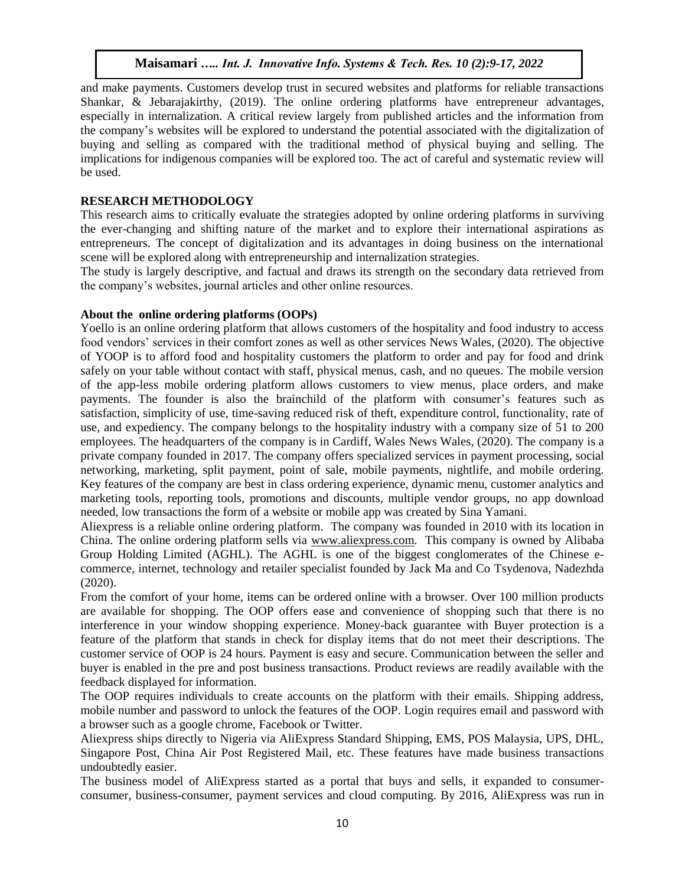and make payments. Customers develop trust in secured websites and platforms for reliable transactions Shankar, & Jebarajakirthy, (2019). The online ordering platforms have entrepreneur advantages, especially in internalization. A critical review largely from published articles and the information from the company's websites will be explored to understand the potential associated with the digitalization of buying and selling as compared with the traditional method of physical buying and selling. The implications for indigenous companies will be explored too. The act of careful and systematic review will be used.

## **RESEARCH METHODOLOGY**

This research aims to critically evaluate the strategies adopted by online ordering platforms in surviving the ever-changing and shifting nature of the market and to explore their international aspirations as entrepreneurs. The concept of digitalization and its advantages in doing business on the international scene will be explored along with entrepreneurship and internalization strategies.

The study is largely descriptive, and factual and draws its strength on the secondary data retrieved from the company's websites, journal articles and other online resources.

## **About the online ordering platforms (OOPs)**

Yoello is an online ordering platform that allows customers of the hospitality and food industry to access food vendors' services in their comfort zones as well as other services News Wales, (2020). The objective of YOOP is to afford food and hospitality customers the platform to order and pay for food and drink safely on your table without contact with staff, physical menus, cash, and no queues. The mobile version of the app-less mobile ordering platform allows customers to view menus, place orders, and make payments. The founder is also the brainchild of the platform with consumer's features such as satisfaction, simplicity of use, time-saving reduced risk of theft, expenditure control, functionality, rate of use, and expediency. The company belongs to the hospitality industry with a company size of 51 to 200 employees. The headquarters of the company is in Cardiff, Wales News Wales, (2020). The company is a private company founded in 2017. The company offers specialized services in payment processing, social networking, marketing, split payment, point of sale, mobile payments, nightlife, and mobile ordering. Key features of the company are best in class ordering experience, dynamic menu, customer analytics and marketing tools, reporting tools, promotions and discounts, multiple vendor groups, no app download needed, low transactions the form of a website or mobile app was created by Sina Yamani.

Aliexpress is a reliable online ordering platform. The company was founded in 2010 with its location in China. The online ordering platform sells via [www.aliexpress.com.](http://www.aliexpress.com/) This company is owned by Alibaba Group Holding Limited (AGHL). The AGHL is one of the biggest conglomerates of the Chinese ecommerce, internet, technology and retailer specialist founded by Jack Ma and Co Tsydenova, Nadezhda (2020).

From the comfort of your home, items can be ordered online with a browser. Over 100 million products are available for shopping. The OOP offers ease and convenience of shopping such that there is no interference in your window shopping experience. Money-back guarantee with Buyer protection is a feature of the platform that stands in check for display items that do not meet their descriptions. The customer service of OOP is 24 hours. Payment is easy and secure. Communication between the seller and buyer is enabled in the pre and post business transactions. Product reviews are readily available with the feedback displayed for information.

The OOP requires individuals to create accounts on the platform with their emails. Shipping address, mobile number and password to unlock the features of the OOP. Login requires email and password with a browser such as a google chrome, Facebook or Twitter.

Aliexpress ships directly to Nigeria via AliExpress Standard Shipping, EMS, POS Malaysia, UPS, DHL, Singapore Post, China Air Post Registered Mail, etc. These features have made business transactions undoubtedly easier.

The business model of AliExpress started as a portal that buys and sells, it expanded to consumerconsumer, business-consumer, payment services and cloud computing. By 2016, AliExpress was run in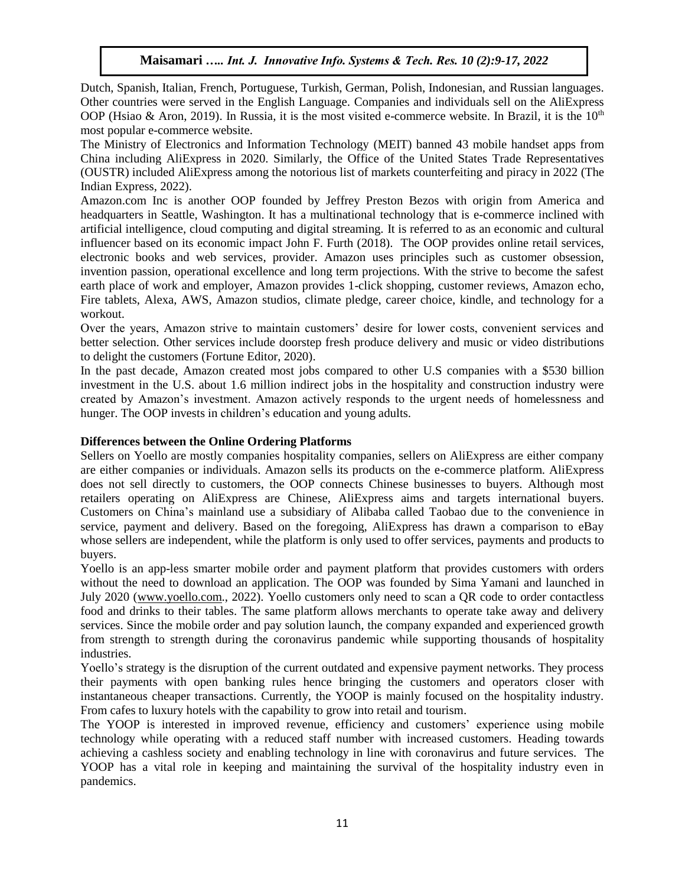Dutch, Spanish, Italian, French, Portuguese, Turkish, German, Polish, Indonesian, and Russian languages. Other countries were served in the English Language. Companies and individuals sell on the AliExpress OOP (Hsiao & Aron, 2019). In Russia, it is the most visited e-commerce website. In Brazil, it is the  $10<sup>th</sup>$ most popular e-commerce website.

The Ministry of Electronics and Information Technology (MEIT) banned 43 mobile handset apps from China including AliExpress in 2020. Similarly, the Office of the United States Trade Representatives (OUSTR) included AliExpress among the notorious list of markets counterfeiting and piracy in 2022 (The Indian Express, 2022).

Amazon.com Inc is another OOP founded by Jeffrey Preston Bezos with origin from America and headquarters in Seattle, Washington. It has a multinational technology that is e-commerce inclined with artificial intelligence, cloud computing and digital streaming. It is referred to as an economic and cultural influencer based on its economic impact John F. Furth (2018). The OOP provides online retail services, electronic books and web services, provider. Amazon uses principles such as customer obsession, invention passion, operational excellence and long term projections. With the strive to become the safest earth place of work and employer, Amazon provides 1-click shopping, customer reviews, Amazon echo, Fire tablets, Alexa, AWS, Amazon studios, climate pledge, career choice, kindle, and technology for a workout.

Over the years, Amazon strive to maintain customers' desire for lower costs, convenient services and better selection. Other services include doorstep fresh produce delivery and music or video distributions to delight the customers (Fortune Editor, 2020).

In the past decade, Amazon created most jobs compared to other U.S companies with a \$530 billion investment in the U.S. about 1.6 million indirect jobs in the hospitality and construction industry were created by Amazon's investment. Amazon actively responds to the urgent needs of homelessness and hunger. The OOP invests in children's education and young adults.

## **Differences between the Online Ordering Platforms**

Sellers on Yoello are mostly companies hospitality companies, sellers on AliExpress are either company are either companies or individuals. Amazon sells its products on the e-commerce platform. AliExpress does not sell directly to customers, the OOP connects Chinese businesses to buyers. Although most retailers operating on AliExpress are Chinese, AliExpress aims and targets international buyers. Customers on China's mainland use a subsidiary of Alibaba called Taobao due to the convenience in service, payment and delivery. Based on the foregoing, AliExpress has drawn a comparison to eBay whose sellers are independent, while the platform is only used to offer services, payments and products to buyers.

Yoello is an app-less smarter mobile order and payment platform that provides customers with orders without the need to download an application. The OOP was founded by Sima Yamani and launched in July 2020 [\(www.yoello.com.](http://www.yoello.com/), 2022). Yoello customers only need to scan a QR code to order contactless food and drinks to their tables. The same platform allows merchants to operate take away and delivery services. Since the mobile order and pay solution launch, the company expanded and experienced growth from strength to strength during the coronavirus pandemic while supporting thousands of hospitality industries.

Yoello's strategy is the disruption of the current outdated and expensive payment networks. They process their payments with open banking rules hence bringing the customers and operators closer with instantaneous cheaper transactions. Currently, the YOOP is mainly focused on the hospitality industry. From cafes to luxury hotels with the capability to grow into retail and tourism.

The YOOP is interested in improved revenue, efficiency and customers' experience using mobile technology while operating with a reduced staff number with increased customers. Heading towards achieving a cashless society and enabling technology in line with coronavirus and future services. The YOOP has a vital role in keeping and maintaining the survival of the hospitality industry even in pandemics.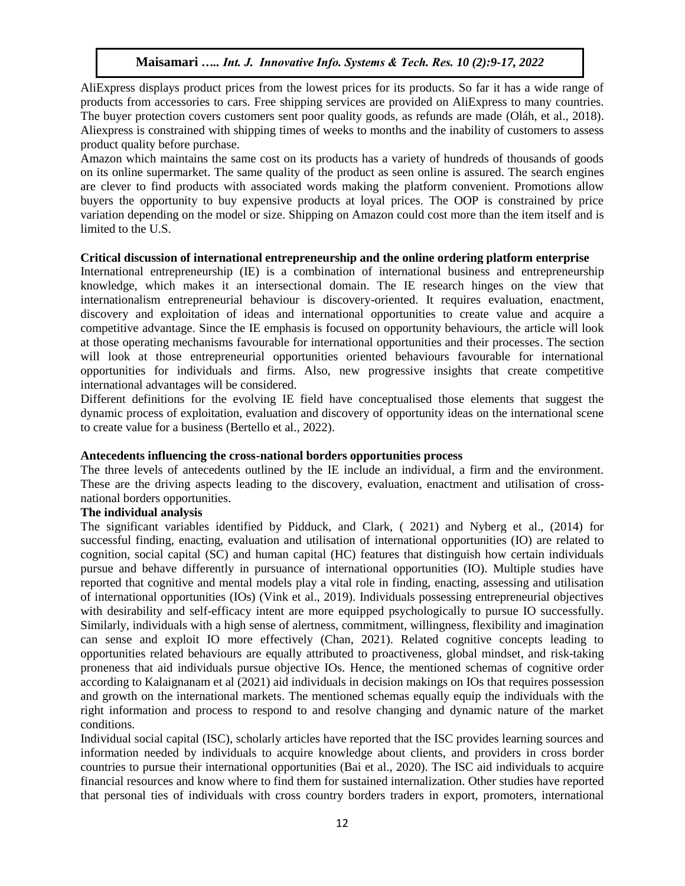AliExpress displays product prices from the lowest prices for its products. So far it has a wide range of products from accessories to cars. Free shipping services are provided on AliExpress to many countries. The buyer protection covers customers sent poor quality goods, as refunds are made (Oláh, et al., 2018). Aliexpress is constrained with shipping times of weeks to months and the inability of customers to assess product quality before purchase.

Amazon which maintains the same cost on its products has a variety of hundreds of thousands of goods on its online supermarket. The same quality of the product as seen online is assured. The search engines are clever to find products with associated words making the platform convenient. Promotions allow buyers the opportunity to buy expensive products at loyal prices. The OOP is constrained by price variation depending on the model or size. Shipping on Amazon could cost more than the item itself and is limited to the U.S.

#### **Critical discussion of international entrepreneurship and the online ordering platform enterprise**

International entrepreneurship (IE) is a combination of international business and entrepreneurship knowledge, which makes it an intersectional domain. The IE research hinges on the view that internationalism entrepreneurial behaviour is discovery-oriented. It requires evaluation, enactment, discovery and exploitation of ideas and international opportunities to create value and acquire a competitive advantage. Since the IE emphasis is focused on opportunity behaviours, the article will look at those operating mechanisms favourable for international opportunities and their processes. The section will look at those entrepreneurial opportunities oriented behaviours favourable for international opportunities for individuals and firms. Also, new progressive insights that create competitive international advantages will be considered.

Different definitions for the evolving IE field have conceptualised those elements that suggest the dynamic process of exploitation, evaluation and discovery of opportunity ideas on the international scene to create value for a business (Bertello et al., 2022).

## **Antecedents influencing the cross-national borders opportunities process**

The three levels of antecedents outlined by the IE include an individual, a firm and the environment. These are the driving aspects leading to the discovery, evaluation, enactment and utilisation of crossnational borders opportunities.

## **The individual analysis**

The significant variables identified by Pidduck, and Clark, ( 2021) and Nyberg et al., (2014) for successful finding, enacting, evaluation and utilisation of international opportunities (IO) are related to cognition, social capital (SC) and human capital (HC) features that distinguish how certain individuals pursue and behave differently in pursuance of international opportunities (IO). Multiple studies have reported that cognitive and mental models play a vital role in finding, enacting, assessing and utilisation of international opportunities (IOs) (Vink et al., 2019). Individuals possessing entrepreneurial objectives with desirability and self-efficacy intent are more equipped psychologically to pursue IO successfully. Similarly, individuals with a high sense of alertness, commitment, willingness, flexibility and imagination can sense and exploit IO more effectively (Chan, 2021). Related cognitive concepts leading to opportunities related behaviours are equally attributed to proactiveness, global mindset, and risk-taking proneness that aid individuals pursue objective IOs. Hence, the mentioned schemas of cognitive order according to Kalaignanam et al (2021) aid individuals in decision makings on IOs that requires possession and growth on the international markets. The mentioned schemas equally equip the individuals with the right information and process to respond to and resolve changing and dynamic nature of the market conditions.

Individual social capital (ISC), scholarly articles have reported that the ISC provides learning sources and information needed by individuals to acquire knowledge about clients, and providers in cross border countries to pursue their international opportunities (Bai et al., 2020). The ISC aid individuals to acquire financial resources and know where to find them for sustained internalization. Other studies have reported that personal ties of individuals with cross country borders traders in export, promoters, international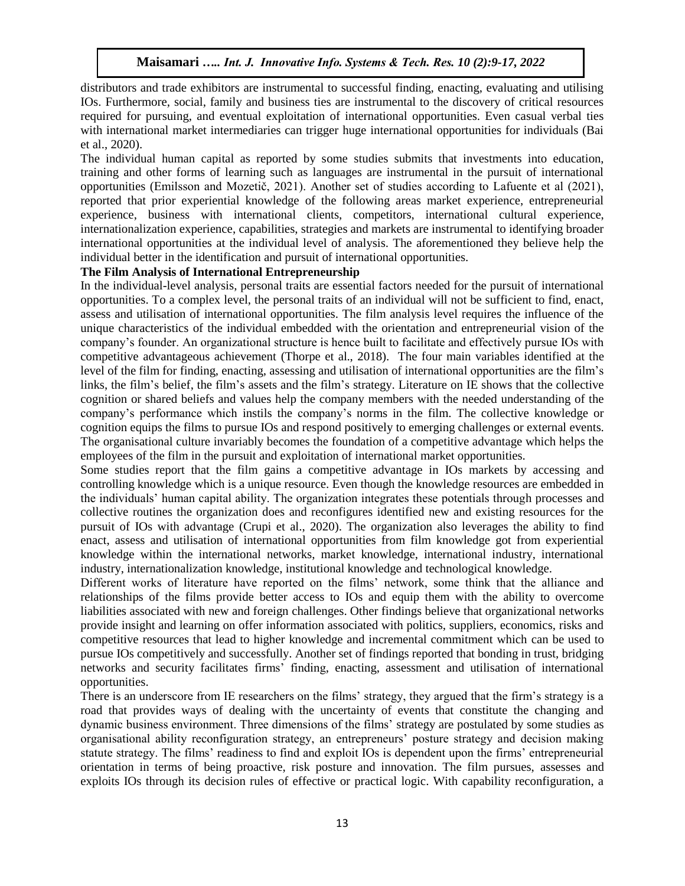distributors and trade exhibitors are instrumental to successful finding, enacting, evaluating and utilising IOs. Furthermore, social, family and business ties are instrumental to the discovery of critical resources required for pursuing, and eventual exploitation of international opportunities. Even casual verbal ties with international market intermediaries can trigger huge international opportunities for individuals (Bai et al., 2020).

The individual human capital as reported by some studies submits that investments into education, training and other forms of learning such as languages are instrumental in the pursuit of international opportunities (Emilsson and Mozetič, 2021). Another set of studies according to Lafuente et al (2021), reported that prior experiential knowledge of the following areas market experience, entrepreneurial experience, business with international clients, competitors, international cultural experience, internationalization experience, capabilities, strategies and markets are instrumental to identifying broader international opportunities at the individual level of analysis. The aforementioned they believe help the individual better in the identification and pursuit of international opportunities.

## **The Film Analysis of International Entrepreneurship**

In the individual-level analysis, personal traits are essential factors needed for the pursuit of international opportunities. To a complex level, the personal traits of an individual will not be sufficient to find, enact, assess and utilisation of international opportunities. The film analysis level requires the influence of the unique characteristics of the individual embedded with the orientation and entrepreneurial vision of the company's founder. An organizational structure is hence built to facilitate and effectively pursue IOs with competitive advantageous achievement (Thorpe et al., 2018). The four main variables identified at the level of the film for finding, enacting, assessing and utilisation of international opportunities are the film's links, the film's belief, the film's assets and the film's strategy. Literature on IE shows that the collective cognition or shared beliefs and values help the company members with the needed understanding of the company's performance which instils the company's norms in the film. The collective knowledge or cognition equips the films to pursue IOs and respond positively to emerging challenges or external events. The organisational culture invariably becomes the foundation of a competitive advantage which helps the employees of the film in the pursuit and exploitation of international market opportunities.

Some studies report that the film gains a competitive advantage in IOs markets by accessing and controlling knowledge which is a unique resource. Even though the knowledge resources are embedded in the individuals' human capital ability. The organization integrates these potentials through processes and collective routines the organization does and reconfigures identified new and existing resources for the pursuit of IOs with advantage (Crupi et al., 2020). The organization also leverages the ability to find enact, assess and utilisation of international opportunities from film knowledge got from experiential knowledge within the international networks, market knowledge, international industry, international industry, internationalization knowledge, institutional knowledge and technological knowledge.

Different works of literature have reported on the films' network, some think that the alliance and relationships of the films provide better access to IOs and equip them with the ability to overcome liabilities associated with new and foreign challenges. Other findings believe that organizational networks provide insight and learning on offer information associated with politics, suppliers, economics, risks and competitive resources that lead to higher knowledge and incremental commitment which can be used to pursue IOs competitively and successfully. Another set of findings reported that bonding in trust, bridging networks and security facilitates firms' finding, enacting, assessment and utilisation of international opportunities.

There is an underscore from IE researchers on the films' strategy, they argued that the firm's strategy is a road that provides ways of dealing with the uncertainty of events that constitute the changing and dynamic business environment. Three dimensions of the films' strategy are postulated by some studies as organisational ability reconfiguration strategy, an entrepreneurs' posture strategy and decision making statute strategy. The films' readiness to find and exploit IOs is dependent upon the firms' entrepreneurial orientation in terms of being proactive, risk posture and innovation. The film pursues, assesses and exploits IOs through its decision rules of effective or practical logic. With capability reconfiguration, a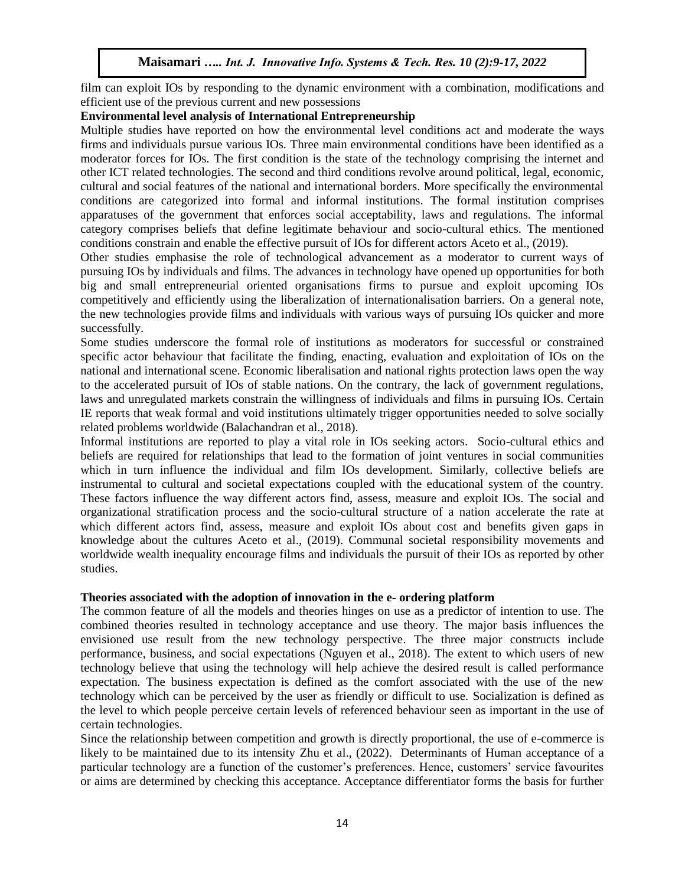film can exploit IOs by responding to the dynamic environment with a combination, modifications and efficient use of the previous current and new possessions

#### **Environmental level analysis of International Entrepreneurship**

Multiple studies have reported on how the environmental level conditions act and moderate the ways firms and individuals pursue various IOs. Three main environmental conditions have been identified as a moderator forces for IOs. The first condition is the state of the technology comprising the internet and other ICT related technologies. The second and third conditions revolve around political, legal, economic, cultural and social features of the national and international borders. More specifically the environmental conditions are categorized into formal and informal institutions. The formal institution comprises apparatuses of the government that enforces social acceptability, laws and regulations. The informal category comprises beliefs that define legitimate behaviour and socio-cultural ethics. The mentioned conditions constrain and enable the effective pursuit of IOs for different actors Aceto et al., (2019).

Other studies emphasise the role of technological advancement as a moderator to current ways of pursuing IOs by individuals and films. The advances in technology have opened up opportunities for both big and small entrepreneurial oriented organisations firms to pursue and exploit upcoming IOs competitively and efficiently using the liberalization of internationalisation barriers. On a general note, the new technologies provide films and individuals with various ways of pursuing IOs quicker and more successfully.

Some studies underscore the formal role of institutions as moderators for successful or constrained specific actor behaviour that facilitate the finding, enacting, evaluation and exploitation of IOs on the national and international scene. Economic liberalisation and national rights protection laws open the way to the accelerated pursuit of IOs of stable nations. On the contrary, the lack of government regulations, laws and unregulated markets constrain the willingness of individuals and films in pursuing IOs. Certain IE reports that weak formal and void institutions ultimately trigger opportunities needed to solve socially related problems worldwide (Balachandran et al., 2018).

Informal institutions are reported to play a vital role in IOs seeking actors. Socio-cultural ethics and beliefs are required for relationships that lead to the formation of joint ventures in social communities which in turn influence the individual and film IOs development. Similarly, collective beliefs are instrumental to cultural and societal expectations coupled with the educational system of the country. These factors influence the way different actors find, assess, measure and exploit IOs. The social and organizational stratification process and the socio-cultural structure of a nation accelerate the rate at which different actors find, assess, measure and exploit IOs about cost and benefits given gaps in knowledge about the cultures Aceto et al., (2019). Communal societal responsibility movements and worldwide wealth inequality encourage films and individuals the pursuit of their IOs as reported by other studies.

## **Theories associated with the adoption of innovation in the e- ordering platform**

The common feature of all the models and theories hinges on use as a predictor of intention to use. The combined theories resulted in technology acceptance and use theory. The major basis influences the envisioned use result from the new technology perspective. The three major constructs include performance, business, and social expectations (Nguyen et al., 2018). The extent to which users of new technology believe that using the technology will help achieve the desired result is called performance expectation. The business expectation is defined as the comfort associated with the use of the new technology which can be perceived by the user as friendly or difficult to use. Socialization is defined as the level to which people perceive certain levels of referenced behaviour seen as important in the use of certain technologies.

Since the relationship between competition and growth is directly proportional, the use of e-commerce is likely to be maintained due to its intensity Zhu et al., (2022). Determinants of Human acceptance of a particular technology are a function of the customer's preferences. Hence, customers' service favourites or aims are determined by checking this acceptance. Acceptance differentiator forms the basis for further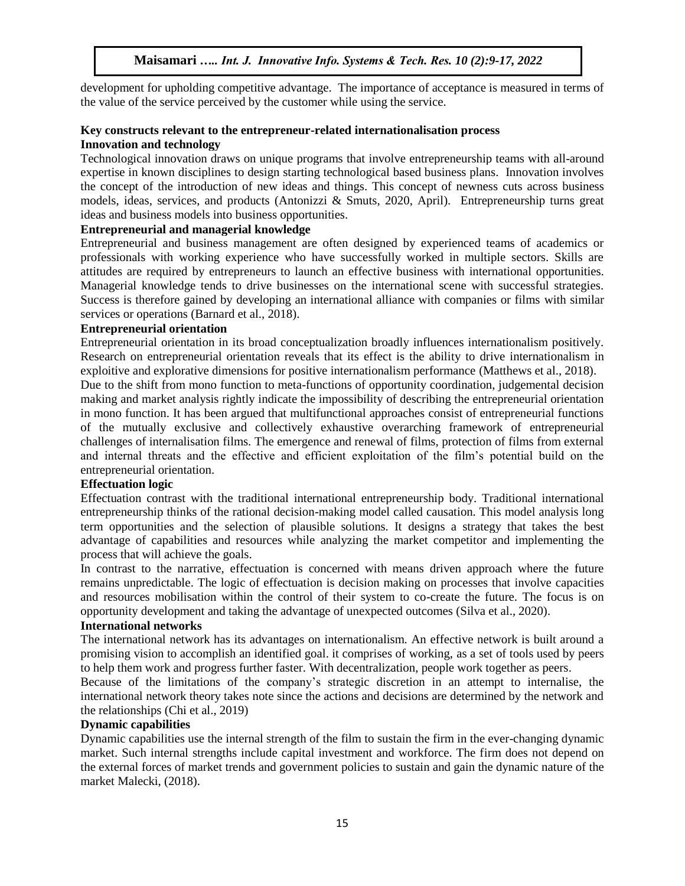development for upholding competitive advantage. The importance of acceptance is measured in terms of the value of the service perceived by the customer while using the service.

## **Key constructs relevant to the entrepreneur-related internationalisation process Innovation and technology**

Technological innovation draws on unique programs that involve entrepreneurship teams with all-around expertise in known disciplines to design starting technological based business plans. Innovation involves the concept of the introduction of new ideas and things. This concept of newness cuts across business models, ideas, services, and products (Antonizzi & Smuts, 2020, April). Entrepreneurship turns great ideas and business models into business opportunities.

## **Entrepreneurial and managerial knowledge**

Entrepreneurial and business management are often designed by experienced teams of academics or professionals with working experience who have successfully worked in multiple sectors. Skills are attitudes are required by entrepreneurs to launch an effective business with international opportunities. Managerial knowledge tends to drive businesses on the international scene with successful strategies. Success is therefore gained by developing an international alliance with companies or films with similar services or operations (Barnard et al., 2018).

## **Entrepreneurial orientation**

Entrepreneurial orientation in its broad conceptualization broadly influences internationalism positively. Research on entrepreneurial orientation reveals that its effect is the ability to drive internationalism in exploitive and explorative dimensions for positive internationalism performance (Matthews et al., 2018).

Due to the shift from mono function to meta-functions of opportunity coordination, judgemental decision making and market analysis rightly indicate the impossibility of describing the entrepreneurial orientation in mono function. It has been argued that multifunctional approaches consist of entrepreneurial functions of the mutually exclusive and collectively exhaustive overarching framework of entrepreneurial challenges of internalisation films. The emergence and renewal of films, protection of films from external and internal threats and the effective and efficient exploitation of the film's potential build on the entrepreneurial orientation.

#### **Effectuation logic**

Effectuation contrast with the traditional international entrepreneurship body. Traditional international entrepreneurship thinks of the rational decision-making model called causation. This model analysis long term opportunities and the selection of plausible solutions. It designs a strategy that takes the best advantage of capabilities and resources while analyzing the market competitor and implementing the process that will achieve the goals.

In contrast to the narrative, effectuation is concerned with means driven approach where the future remains unpredictable. The logic of effectuation is decision making on processes that involve capacities and resources mobilisation within the control of their system to co-create the future. The focus is on opportunity development and taking the advantage of unexpected outcomes (Silva et al., 2020).

#### **International networks**

The international network has its advantages on internationalism. An effective network is built around a promising vision to accomplish an identified goal. it comprises of working, as a set of tools used by peers to help them work and progress further faster. With decentralization, people work together as peers.

Because of the limitations of the company's strategic discretion in an attempt to internalise, the international network theory takes note since the actions and decisions are determined by the network and the relationships (Chi et al., 2019)

# **Dynamic capabilities**

Dynamic capabilities use the internal strength of the film to sustain the firm in the ever-changing dynamic market. Such internal strengths include capital investment and workforce. The firm does not depend on the external forces of market trends and government policies to sustain and gain the dynamic nature of the market Malecki, (2018).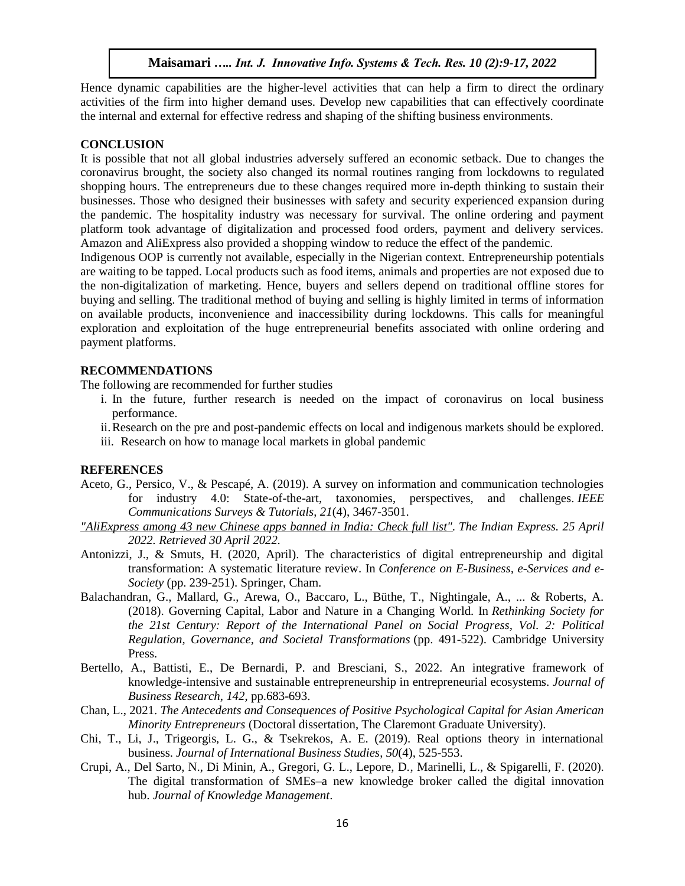Hence dynamic capabilities are the higher-level activities that can help a firm to direct the ordinary activities of the firm into higher demand uses. Develop new capabilities that can effectively coordinate the internal and external for effective redress and shaping of the shifting business environments.

#### **CONCLUSION**

It is possible that not all global industries adversely suffered an economic setback. Due to changes the coronavirus brought, the society also changed its normal routines ranging from lockdowns to regulated shopping hours. The entrepreneurs due to these changes required more in-depth thinking to sustain their businesses. Those who designed their businesses with safety and security experienced expansion during the pandemic. The hospitality industry was necessary for survival. The online ordering and payment platform took advantage of digitalization and processed food orders, payment and delivery services. Amazon and AliExpress also provided a shopping window to reduce the effect of the pandemic.

Indigenous OOP is currently not available, especially in the Nigerian context. Entrepreneurship potentials are waiting to be tapped. Local products such as food items, animals and properties are not exposed due to the non-digitalization of marketing. Hence, buyers and sellers depend on traditional offline stores for buying and selling. The traditional method of buying and selling is highly limited in terms of information on available products, inconvenience and inaccessibility during lockdowns. This calls for meaningful exploration and exploitation of the huge entrepreneurial benefits associated with online ordering and payment platforms.

#### **RECOMMENDATIONS**

The following are recommended for further studies

- i. In the future, further research is needed on the impact of coronavirus on local business performance.
- ii.Research on the pre and post-pandemic effects on local and indigenous markets should be explored.
- iii. Research on how to manage local markets in global pandemic

#### **REFERENCES**

- Aceto, G., Persico, V., & Pescapé, A. (2019). A survey on information and communication technologies for industry 4.0: State-of-the-art, taxonomies, perspectives, and challenges. *IEEE Communications Surveys & Tutorials*, *21*(4), 3467-3501.
- *["AliExpress among 43 new Chinese apps banned in India: Check full list".](https://indianexpress.com/article/technology/tech-news-technology/aliexpress-and-more-govt-bans-43-more-chinese-apps-in-the-country-7063997/) The Indian Express. 25 April 2022. Retrieved 30 April 2022.*
- Antonizzi, J., & Smuts, H. (2020, April). The characteristics of digital entrepreneurship and digital transformation: A systematic literature review. In *Conference on E-Business, e-Services and e-Society* (pp. 239-251). Springer, Cham.
- Balachandran, G., Mallard, G., Arewa, O., Baccaro, L., Büthe, T., Nightingale, A., ... & Roberts, A. (2018). Governing Capital, Labor and Nature in a Changing World. In *Rethinking Society for the 21st Century: Report of the International Panel on Social Progress, Vol. 2: Political Regulation, Governance, and Societal Transformations* (pp. 491-522). Cambridge University Press.
- Bertello, A., Battisti, E., De Bernardi, P. and Bresciani, S., 2022. An integrative framework of knowledge-intensive and sustainable entrepreneurship in entrepreneurial ecosystems. *Journal of Business Research*, *142*, pp.683-693.
- Chan, L., 2021. *The Antecedents and Consequences of Positive Psychological Capital for Asian American Minority Entrepreneurs* (Doctoral dissertation, The Claremont Graduate University).
- Chi, T., Li, J., Trigeorgis, L. G., & Tsekrekos, A. E. (2019). Real options theory in international business. *Journal of International Business Studies*, *50*(4), 525-553.
- Crupi, A., Del Sarto, N., Di Minin, A., Gregori, G. L., Lepore, D., Marinelli, L., & Spigarelli, F. (2020). The digital transformation of SMEs–a new knowledge broker called the digital innovation hub. *Journal of Knowledge Management*.